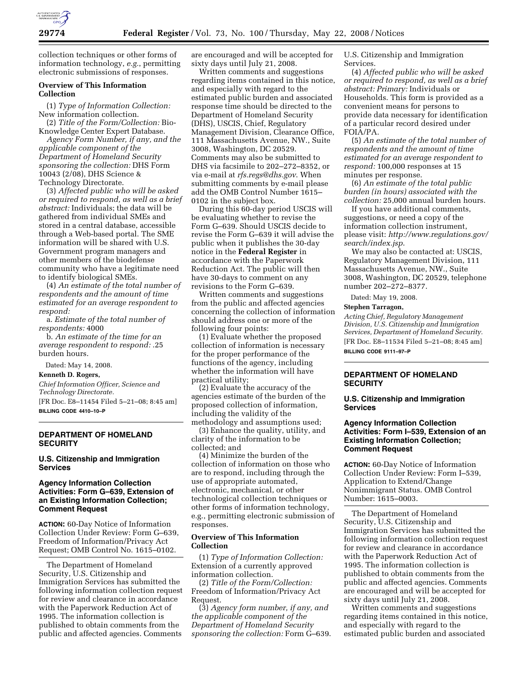

collection techniques or other forms of information technology, *e.g.*, permitting electronic submissions of responses.

# **Overview of This Information Collection**

(1) *Type of Information Collection:*  New information collection.

(2) *Title of the Form/Collection:* Bio-Knowledge Center Expert Database. *Agency Form Number, if any, and the applicable component of the Department of Homeland Security sponsoring the collection:* DHS Form 10043 (2/08), DHS Science &

Technology Directorate.

(3) *Affected public who will be asked or required to respond, as well as a brief abstract:* Individuals; the data will be gathered from individual SMEs and stored in a central database, accessible through a Web-based portal. The SME information will be shared with U.S. Government program managers and other members of the biodefense community who have a legitimate need to identify biological SMEs.

(4) *An estimate of the total number of respondents and the amount of time estimated for an average respondent to respond:* 

a. *Estimate of the total number of respondents:* 4000

b. *An estimate of the time for an average respondent to respond:* .25 burden hours.

Dated: May 14, 2008.

#### **Kenneth D. Rogers,**

*Chief Information Officer, Science and Technology Directorate.*  [FR Doc. E8–11454 Filed 5–21–08; 8:45 am]

**BILLING CODE 4410–10–P** 

# **DEPARTMENT OF HOMELAND SECURITY**

**U.S. Citizenship and Immigration Services** 

# **Agency Information Collection Activities: Form G–639, Extension of an Existing Information Collection; Comment Request**

**ACTION:** 60-Day Notice of Information Collection Under Review: Form G–639, Freedom of Information/Privacy Act Request; OMB Control No. 1615–0102.

The Department of Homeland Security, U.S. Citizenship and Immigration Services has submitted the following information collection request for review and clearance in accordance with the Paperwork Reduction Act of 1995. The information collection is published to obtain comments from the public and affected agencies. Comments

are encouraged and will be accepted for sixty days until July 21, 2008.

Written comments and suggestions regarding items contained in this notice, and especially with regard to the estimated public burden and associated response time should be directed to the Department of Homeland Security (DHS), USCIS, Chief, Regulatory Management Division, Clearance Office, 111 Massachusetts Avenue, NW., Suite 3008, Washington, DC 20529. Comments may also be submitted to DHS via facsimile to 202–272–8352, or via e-mail at *rfs.regs@dhs.gov*. When submitting comments by e-mail please add the OMB Control Number 1615– 0102 in the subject box.

During this 60-day period USCIS will be evaluating whether to revise the Form G–639. Should USCIS decide to revise the Form G–639 it will advise the public when it publishes the 30-day notice in the **Federal Register** in accordance with the Paperwork Reduction Act. The public will then have 30-days to comment on any revisions to the Form G–639.

Written comments and suggestions from the public and affected agencies concerning the collection of information should address one or more of the following four points:

(1) Evaluate whether the proposed collection of information is necessary for the proper performance of the functions of the agency, including whether the information will have practical utility;

(2) Evaluate the accuracy of the agencies estimate of the burden of the proposed collection of information, including the validity of the methodology and assumptions used;

(3) Enhance the quality, utility, and clarity of the information to be collected; and

(4) Minimize the burden of the collection of information on those who are to respond, including through the use of appropriate automated, electronic, mechanical, or other technological collection techniques or other forms of information technology, e.g., permitting electronic submission of responses.

## **Overview of This Information Collection**

(1) *Type of Information Collection:*  Extension of a currently approved information collection.

(2) *Title of the Form/Collection:*  Freedom of Information/Privacy Act Request.

(3) *Agency form number, if any, and the applicable component of the Department of Homeland Security sponsoring the collection:* Form G–639. U.S. Citizenship and Immigration Services.

(4) *Affected public who will be asked or required to respond, as well as a brief abstract: Primary:* Individuals or Households. This form is provided as a convenient means for persons to provide data necessary for identification of a particular record desired under FOIA/PA.

(5) *An estimate of the total number of respondents and the amount of time estimated for an average respondent to respond:* 100,000 responses at 15 minutes per response.

(6) *An estimate of the total public burden (in hours) associated with the collection:* 25,000 annual burden hours.

If you have additional comments, suggestions, or need a copy of the information collection instrument, please visit: *http://www.regulations.gov/ search/index.jsp*.

We may also be contacted at: USCIS, Regulatory Management Division, 111 Massachusetts Avenue, NW., Suite 3008, Washington, DC 20529, telephone number 202–272–8377.

Dated: May 19, 2008.

#### **Stephen Tarragon,**

*Acting Chief, Regulatory Management Division, U.S. Citizenship and Immigration Services, Department of Homeland Security.*  [FR Doc. E8–11534 Filed 5–21–08; 8:45 am] **BILLING CODE 9111–97–P** 

# **DEPARTMENT OF HOMELAND SECURITY**

#### **U.S. Citizenship and Immigration Services**

# **Agency Information Collection Activities: Form I–539, Extension of an Existing Information Collection; Comment Request**

**ACTION:** 60-Day Notice of Information Collection Under Review: Form I–539, Application to Extend/Change Nonimmigrant Status. OMB Control Number: 1615–0003.

The Department of Homeland Security, U.S. Citizenship and Immigration Services has submitted the following information collection request for review and clearance in accordance with the Paperwork Reduction Act of 1995. The information collection is published to obtain comments from the public and affected agencies. Comments are encouraged and will be accepted for sixty days until July 21, 2008.

Written comments and suggestions regarding items contained in this notice, and especially with regard to the estimated public burden and associated